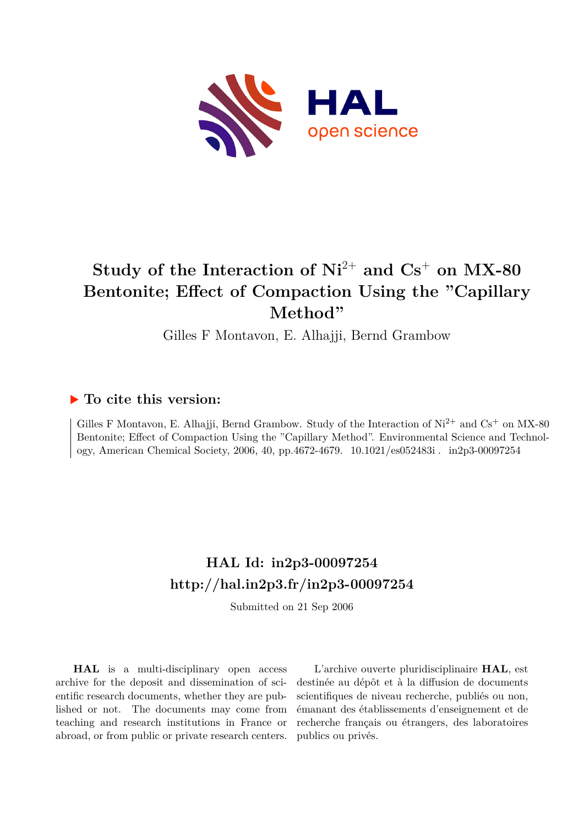

# **Study of the Interaction of Ni**2+ **and Cs**<sup>+</sup> **on MX-80 Bentonite; Effect of Compaction Using the "Capillary Method"**

Gilles F Montavon, E. Alhajji, Bernd Grambow

# **To cite this version:**

Gilles F Montavon, E. Alhajji, Bernd Grambow. Study of the Interaction of  $Ni^{2+}$  and  $Cs^{+}$  on MX-80 Bentonite; Effect of Compaction Using the "Capillary Method". Environmental Science and Technology, American Chemical Society, 2006, 40, pp.4672-4679. 10.1021/es052483i. in2p3-00097254

# **HAL Id: in2p3-00097254 <http://hal.in2p3.fr/in2p3-00097254>**

Submitted on 21 Sep 2006

**HAL** is a multi-disciplinary open access archive for the deposit and dissemination of scientific research documents, whether they are published or not. The documents may come from teaching and research institutions in France or abroad, or from public or private research centers.

L'archive ouverte pluridisciplinaire **HAL**, est destinée au dépôt et à la diffusion de documents scientifiques de niveau recherche, publiés ou non, émanant des établissements d'enseignement et de recherche français ou étrangers, des laboratoires publics ou privés.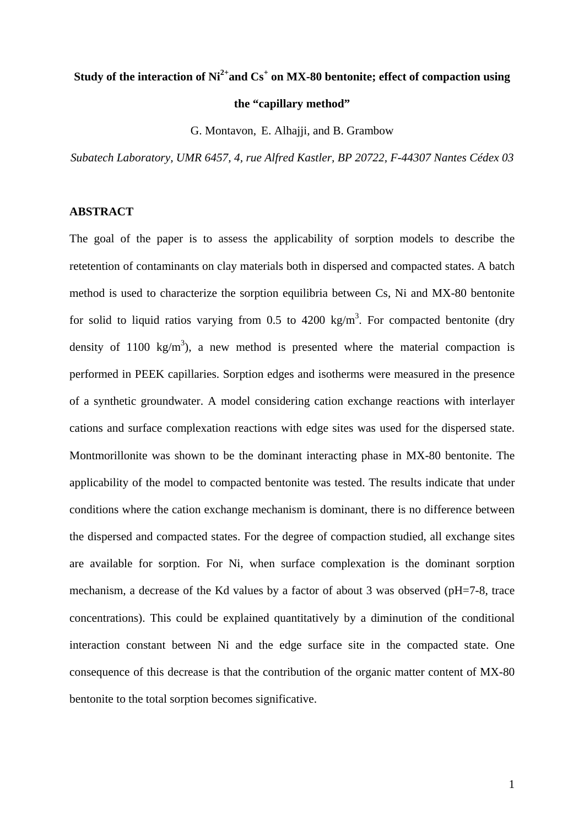# **Study of the interaction of Ni2+and Cs+ on MX-80 bentonite; effect of compaction using**

### **the "capillary method"**

G. Montavon, E. Alhajji, and B. Grambow

*Subatech Laboratory, UMR 6457, 4, rue Alfred Kastler, BP 20722, F-44307 Nantes Cédex 03* 

#### **ABSTRACT**

The goal of the paper is to assess the applicability of sorption models to describe the retetention of contaminants on clay materials both in dispersed and compacted states. A batch method is used to characterize the sorption equilibria between Cs, Ni and MX-80 bentonite for solid to liquid ratios varying from 0.5 to 4200 kg/m<sup>3</sup>. For compacted bentonite (dry density of 1100 kg/m<sup>3</sup>), a new method is presented where the material compaction is performed in PEEK capillaries. Sorption edges and isotherms were measured in the presence of a synthetic groundwater. A model considering cation exchange reactions with interlayer cations and surface complexation reactions with edge sites was used for the dispersed state. Montmorillonite was shown to be the dominant interacting phase in MX-80 bentonite. The applicability of the model to compacted bentonite was tested. The results indicate that under conditions where the cation exchange mechanism is dominant, there is no difference between the dispersed and compacted states. For the degree of compaction studied, all exchange sites are available for sorption. For Ni, when surface complexation is the dominant sorption mechanism, a decrease of the Kd values by a factor of about 3 was observed (pH=7-8, trace concentrations). This could be explained quantitatively by a diminution of the conditional interaction constant between Ni and the edge surface site in the compacted state. One consequence of this decrease is that the contribution of the organic matter content of MX-80 bentonite to the total sorption becomes significative.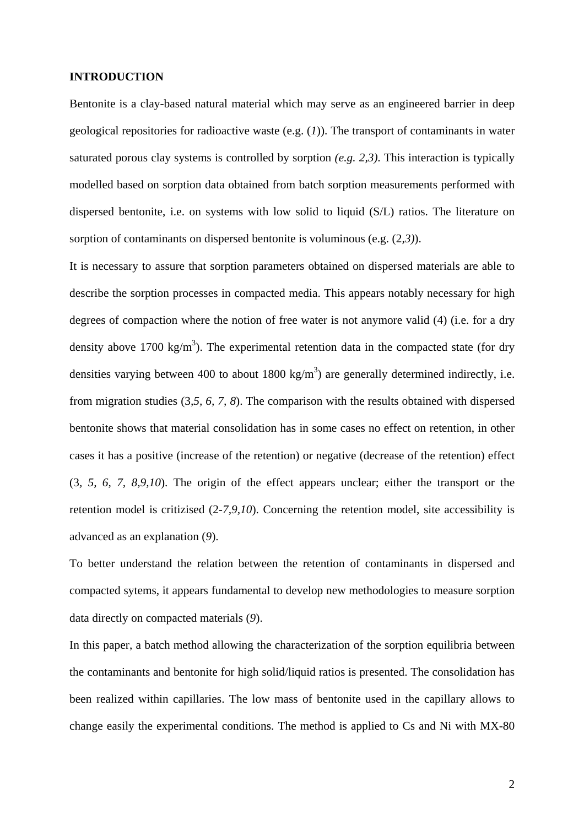#### **INTRODUCTION**

Bentonite is a clay-based natural material which may serve as an engineered barrier in deep geological repositories for radioactive waste (e.g. (*1*)). The transport of contaminants in water saturated porous clay systems is controlled by sorption *(e.g. 2,3)*. This interaction is typically modelled based on sorption data obtained from batch sorption measurements performed with dispersed bentonite, i.e. on systems with low solid to liquid (S/L) ratios. The literature on sorption of contaminants on dispersed bentonite is voluminous (e.g. (2*,3)*).

It is necessary to assure that sorption parameters obtained on dispersed materials are able to describe the sorption processes in compacted media. This appears notably necessary for high degrees of compaction where the notion of free water is not anymore valid (4) (i.e. for a dry density above 1700 kg/m<sup>3</sup>). The experimental retention data in the compacted state (for dry densities varying between 400 to about 1800 kg/m<sup>3</sup>) are generally determined indirectly, i.e. from migration studies (3*,5, 6, 7, 8*). The comparison with the results obtained with dispersed bentonite shows that material consolidation has in some cases no effect on retention, in other cases it has a positive (increase of the retention) or negative (decrease of the retention) effect (3*, 5, 6, 7, 8,9,10*). The origin of the effect appears unclear; either the transport or the retention model is critizised (2*-7,9,10*). Concerning the retention model, site accessibility is advanced as an explanation (*9*).

To better understand the relation between the retention of contaminants in dispersed and compacted sytems, it appears fundamental to develop new methodologies to measure sorption data directly on compacted materials (*9*).

In this paper, a batch method allowing the characterization of the sorption equilibria between the contaminants and bentonite for high solid/liquid ratios is presented. The consolidation has been realized within capillaries. The low mass of bentonite used in the capillary allows to change easily the experimental conditions. The method is applied to Cs and Ni with MX-80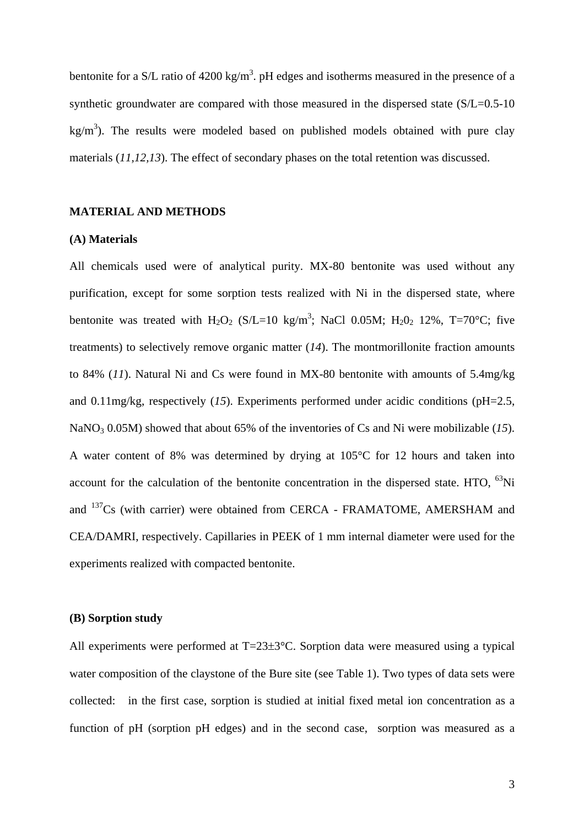bentonite for a S/L ratio of 4200 kg/m<sup>3</sup>. pH edges and isotherms measured in the presence of a synthetic groundwater are compared with those measured in the dispersed state (S/L=0.5-10) kg/m<sup>3</sup>). The results were modeled based on published models obtained with pure clay materials (*11,12,13*). The effect of secondary phases on the total retention was discussed.

### **MATERIAL AND METHODS**

#### **(A) Materials**

All chemicals used were of analytical purity. MX-80 bentonite was used without any purification, except for some sorption tests realized with Ni in the dispersed state, where bentonite was treated with  $H_2O_2$  (S/L=10 kg/m<sup>3</sup>; NaCl 0.05M;  $H_2O_2$  12%, T=70°C; five treatments) to selectively remove organic matter (*14*). The montmorillonite fraction amounts to 84% (*11*). Natural Ni and Cs were found in MX-80 bentonite with amounts of 5.4mg/kg and 0.11mg/kg, respectively (*15*). Experiments performed under acidic conditions (pH=2.5, NaNO<sub>3</sub> 0.05M) showed that about 65% of the inventories of Cs and Ni were mobilizable (*15*). A water content of 8% was determined by drying at 105°C for 12 hours and taken into account for the calculation of the bentonite concentration in the dispersed state. HTO,  ${}^{63}$ Ni and 137Cs (with carrier) were obtained from CERCA - FRAMATOME, AMERSHAM and CEA/DAMRI, respectively. Capillaries in PEEK of 1 mm internal diameter were used for the experiments realized with compacted bentonite.

### **(B) Sorption study**

All experiments were performed at T=23±3<sup>o</sup>C. Sorption data were measured using a typical water composition of the claystone of the Bure site (see Table 1). Two types of data sets were collected: in the first case, sorption is studied at initial fixed metal ion concentration as a function of pH (sorption pH edges) and in the second case, sorption was measured as a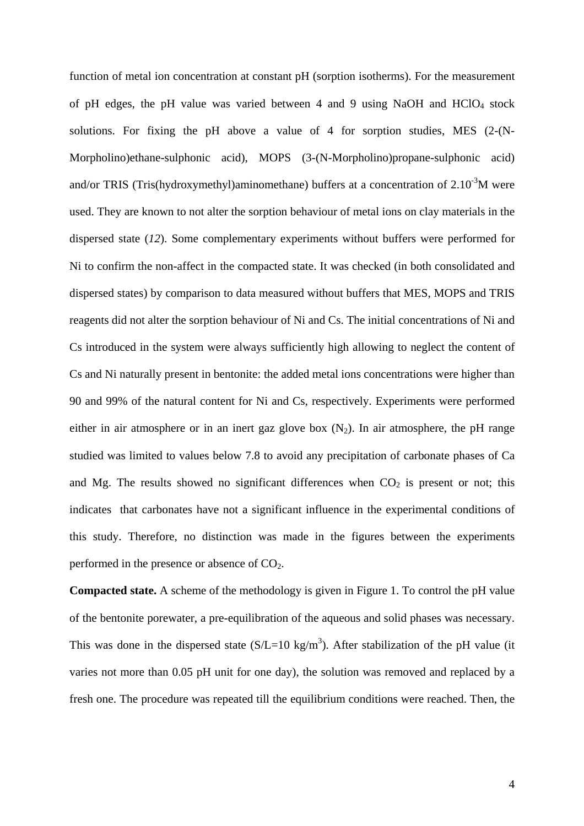function of metal ion concentration at constant pH (sorption isotherms). For the measurement of pH edges, the pH value was varied between 4 and 9 using NaOH and  $HCIO<sub>4</sub>$  stock solutions. For fixing the pH above a value of 4 for sorption studies, MES (2-(N-Morpholino)ethane-sulphonic acid), MOPS (3-(N-Morpholino)propane-sulphonic acid) and/or TRIS (Tris(hydroxymethyl)aminomethane) buffers at a concentration of  $2.10^{-3}$ M were used. They are known to not alter the sorption behaviour of metal ions on clay materials in the dispersed state (*12*). Some complementary experiments without buffers were performed for Ni to confirm the non-affect in the compacted state. It was checked (in both consolidated and dispersed states) by comparison to data measured without buffers that MES, MOPS and TRIS reagents did not alter the sorption behaviour of Ni and Cs. The initial concentrations of Ni and Cs introduced in the system were always sufficiently high allowing to neglect the content of Cs and Ni naturally present in bentonite: the added metal ions concentrations were higher than 90 and 99% of the natural content for Ni and Cs, respectively. Experiments were performed either in air atmosphere or in an inert gaz glove box  $(N_2)$ . In air atmosphere, the pH range studied was limited to values below 7.8 to avoid any precipitation of carbonate phases of Ca and Mg. The results showed no significant differences when  $CO<sub>2</sub>$  is present or not; this indicates that carbonates have not a significant influence in the experimental conditions of this study. Therefore, no distinction was made in the figures between the experiments performed in the presence or absence of  $CO<sub>2</sub>$ .

**Compacted state.** A scheme of the methodology is given in Figure 1. To control the pH value of the bentonite porewater, a pre-equilibration of the aqueous and solid phases was necessary. This was done in the dispersed state  $(S/L=10 \text{ kg/m}^3)$ . After stabilization of the pH value (it varies not more than 0.05 pH unit for one day), the solution was removed and replaced by a fresh one. The procedure was repeated till the equilibrium conditions were reached. Then, the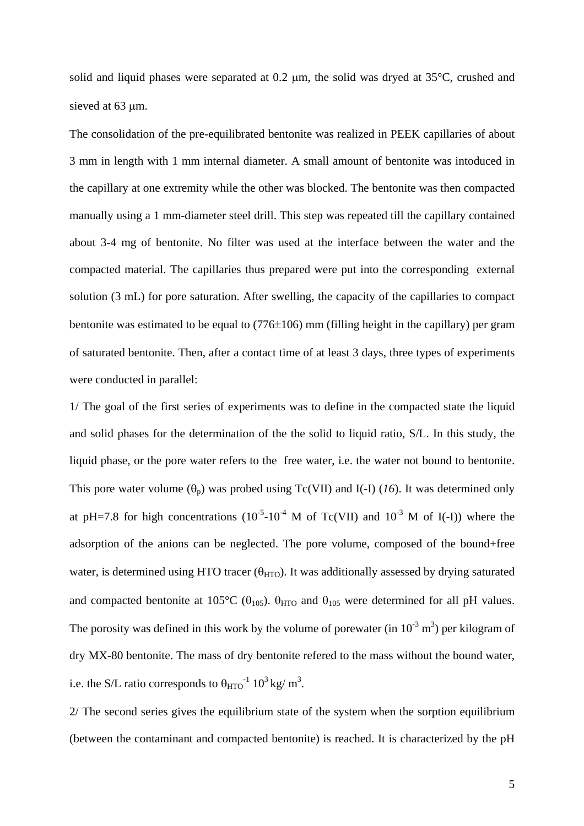solid and liquid phases were separated at 0.2 μm, the solid was dryed at 35°C, crushed and sieved at 63 μm.

The consolidation of the pre-equilibrated bentonite was realized in PEEK capillaries of about 3 mm in length with 1 mm internal diameter. A small amount of bentonite was intoduced in the capillary at one extremity while the other was blocked. The bentonite was then compacted manually using a 1 mm-diameter steel drill. This step was repeated till the capillary contained about 3-4 mg of bentonite. No filter was used at the interface between the water and the compacted material. The capillaries thus prepared were put into the corresponding external solution (3 mL) for pore saturation. After swelling, the capacity of the capillaries to compact bentonite was estimated to be equal to (776±106) mm (filling height in the capillary) per gram of saturated bentonite. Then, after a contact time of at least 3 days, three types of experiments were conducted in parallel:

1/ The goal of the first series of experiments was to define in the compacted state the liquid and solid phases for the determination of the the solid to liquid ratio, S/L. In this study, the liquid phase, or the pore water refers to the free water, i.e. the water not bound to bentonite. This pore water volume  $(\theta_p)$  was probed using Tc(VII) and I(-I) (16). It was determined only at pH=7.8 for high concentrations  $(10^{-5}-10^{-4} \text{ M of Tc(VII)}$  and  $10^{-3} \text{ M of I(-I)})$  where the adsorption of the anions can be neglected. The pore volume, composed of the bound+free water, is determined using HTO tracer ( $\theta_{\text{HTO}}$ ). It was additionally assessed by drying saturated and compacted bentonite at 105°C ( $\theta_{105}$ ).  $\theta_{HTO}$  and  $\theta_{105}$  were determined for all pH values. The porosity was defined in this work by the volume of porewater (in  $10^{-3}$  m<sup>3</sup>) per kilogram of dry MX-80 bentonite. The mass of dry bentonite refered to the mass without the bound water, i.e. the S/L ratio corresponds to  $\theta_{\text{HTO}}^{-1}$  10<sup>3</sup> kg/ m<sup>3</sup>.

2/ The second series gives the equilibrium state of the system when the sorption equilibrium (between the contaminant and compacted bentonite) is reached. It is characterized by the pH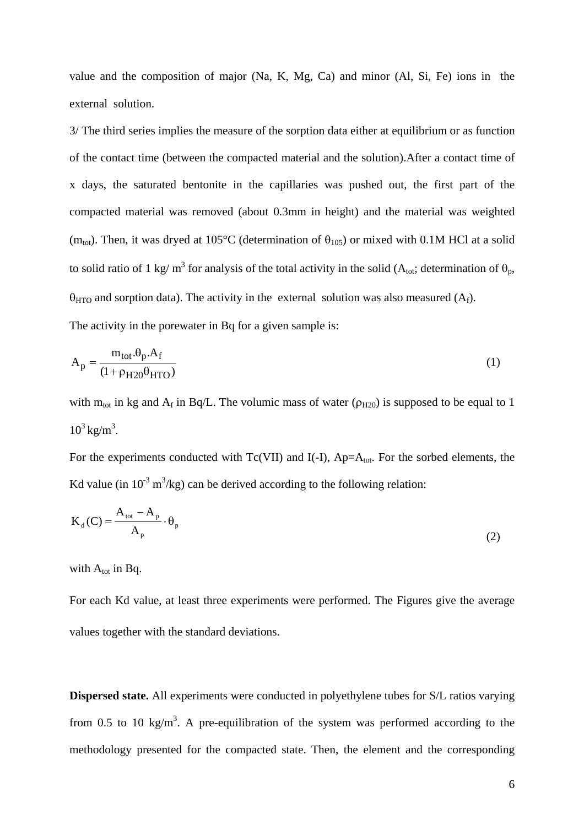value and the composition of major (Na, K, Mg, Ca) and minor (Al, Si, Fe) ions in the external solution.

3/ The third series implies the measure of the sorption data either at equilibrium or as function of the contact time (between the compacted material and the solution).After a contact time of x days, the saturated bentonite in the capillaries was pushed out, the first part of the compacted material was removed (about 0.3mm in height) and the material was weighted (m<sub>tot</sub>). Then, it was dryed at 105°C (determination of  $\theta_{105}$ ) or mixed with 0.1M HCl at a solid to solid ratio of 1 kg/ m<sup>3</sup> for analysis of the total activity in the solid ( $A_{\text{tot}}$ ; determination of  $\theta_{\text{p}}$ ,  $\theta_{\text{HTO}}$  and sorption data). The activity in the external solution was also measured (A<sub>f</sub>). The activity in the porewater in Bq for a given sample is:

$$
A_p = \frac{m_{tot} \theta_p A_f}{(1 + \rho_{H20} \theta_{HTO})}
$$
 (1)

with  $m_{tot}$  in kg and  $A_f$  in Bq/L. The volumic mass of water ( $\rho_{H20}$ ) is supposed to be equal to 1  $10^3 \text{ kg/m}^3$ .

For the experiments conducted with  $Tc(VII)$  and  $I(-I)$ ,  $Ap=A<sub>tot</sub>$ . For the sorbed elements, the Kd value (in  $10^{-3}$  m<sup>3</sup>/kg) can be derived according to the following relation:

$$
K_{d}(C) = \frac{A_{tot} - A_{p}}{A_{p}} \cdot \theta_{p}
$$
 (2)

with  $A_{tot}$  in Bq.

For each Kd value, at least three experiments were performed. The Figures give the average values together with the standard deviations.

**Dispersed state.** All experiments were conducted in polyethylene tubes for S/L ratios varying from 0.5 to 10 kg/m<sup>3</sup>. A pre-equilibration of the system was performed according to the methodology presented for the compacted state. Then, the element and the corresponding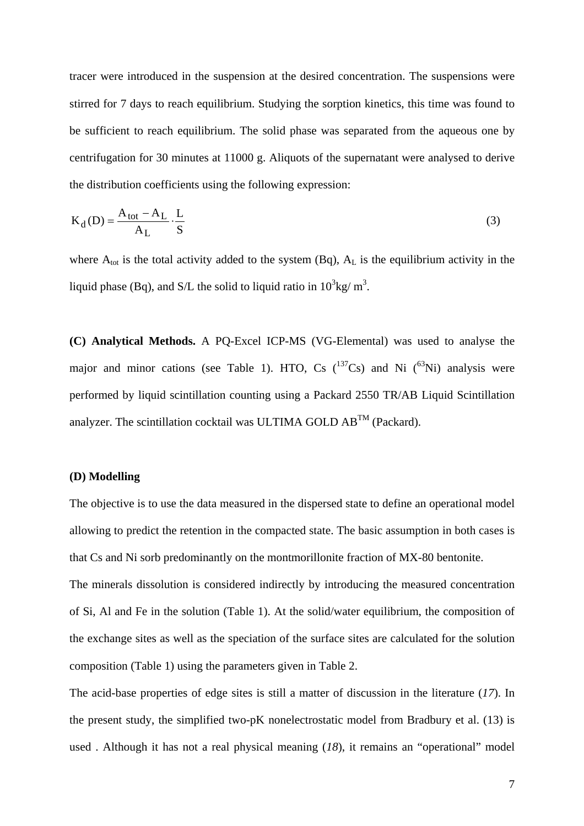tracer were introduced in the suspension at the desired concentration. The suspensions were stirred for 7 days to reach equilibrium. Studying the sorption kinetics, this time was found to be sufficient to reach equilibrium. The solid phase was separated from the aqueous one by centrifugation for 30 minutes at 11000 g. Aliquots of the supernatant were analysed to derive the distribution coefficients using the following expression:

$$
K_{d}(D) = \frac{A_{tot} - A_{L}}{A_{L}} \cdot \frac{L}{S}
$$
 (3)

where  $A_{\text{tot}}$  is the total activity added to the system (Bq),  $A_L$  is the equilibrium activity in the liquid phase (Bq), and S/L the solid to liquid ratio in  $10^3$ kg/m<sup>3</sup>.

**(C) Analytical Methods.** A PQ-Excel ICP-MS (VG-Elemental) was used to analyse the major and minor cations (see Table 1). HTO, Cs  $(^{137}Cs)$  and Ni  $(^{63}Ni)$  analysis were performed by liquid scintillation counting using a Packard 2550 TR/AB Liquid Scintillation analyzer. The scintillation cocktail was ULTIMA GOLD  $AB^{TM}$  (Packard).

#### **(D) Modelling**

The objective is to use the data measured in the dispersed state to define an operational model allowing to predict the retention in the compacted state. The basic assumption in both cases is that Cs and Ni sorb predominantly on the montmorillonite fraction of MX-80 bentonite.

The minerals dissolution is considered indirectly by introducing the measured concentration of Si, Al and Fe in the solution (Table 1). At the solid/water equilibrium, the composition of the exchange sites as well as the speciation of the surface sites are calculated for the solution composition (Table 1) using the parameters given in Table 2.

The acid-base properties of edge sites is still a matter of discussion in the literature (*17*). In the present study, the simplified two-pK nonelectrostatic model from Bradbury et al. (13) is used . Although it has not a real physical meaning (*18*), it remains an "operational" model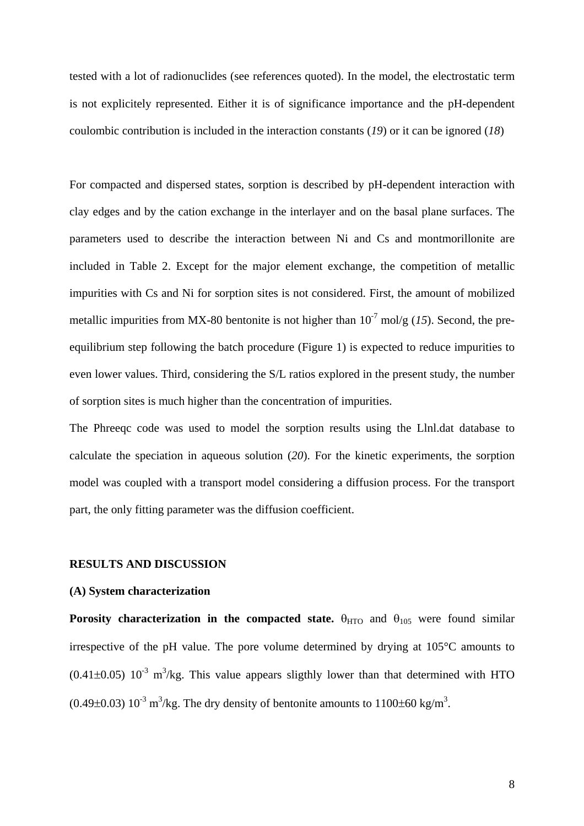tested with a lot of radionuclides (see references quoted). In the model, the electrostatic term is not explicitely represented. Either it is of significance importance and the pH-dependent coulombic contribution is included in the interaction constants (*19*) or it can be ignored (*18*)

For compacted and dispersed states, sorption is described by pH-dependent interaction with clay edges and by the cation exchange in the interlayer and on the basal plane surfaces. The parameters used to describe the interaction between Ni and Cs and montmorillonite are included in Table 2. Except for the major element exchange, the competition of metallic impurities with Cs and Ni for sorption sites is not considered. First, the amount of mobilized metallic impurities from MX-80 bentonite is not higher than  $10^{-7}$  mol/g (15). Second, the preequilibrium step following the batch procedure (Figure 1) is expected to reduce impurities to even lower values. Third, considering the S/L ratios explored in the present study, the number of sorption sites is much higher than the concentration of impurities.

The Phreeqc code was used to model the sorption results using the Llnl.dat database to calculate the speciation in aqueous solution (*20*). For the kinetic experiments, the sorption model was coupled with a transport model considering a diffusion process. For the transport part, the only fitting parameter was the diffusion coefficient.

#### **RESULTS AND DISCUSSION**

#### **(A) System characterization**

**Porosity characterization in the compacted state.**  $\theta_{\text{HTO}}$  and  $\theta_{105}$  were found similar irrespective of the pH value. The pore volume determined by drying at 105°C amounts to  $(0.41\pm0.05)$   $10^{-3}$  m<sup>3</sup>/kg. This value appears sligthly lower than that determined with HTO  $(0.49\pm0.03)$   $10^{-3}$  m<sup>3</sup>/kg. The dry density of bentonite amounts to  $1100\pm60$  kg/m<sup>3</sup>.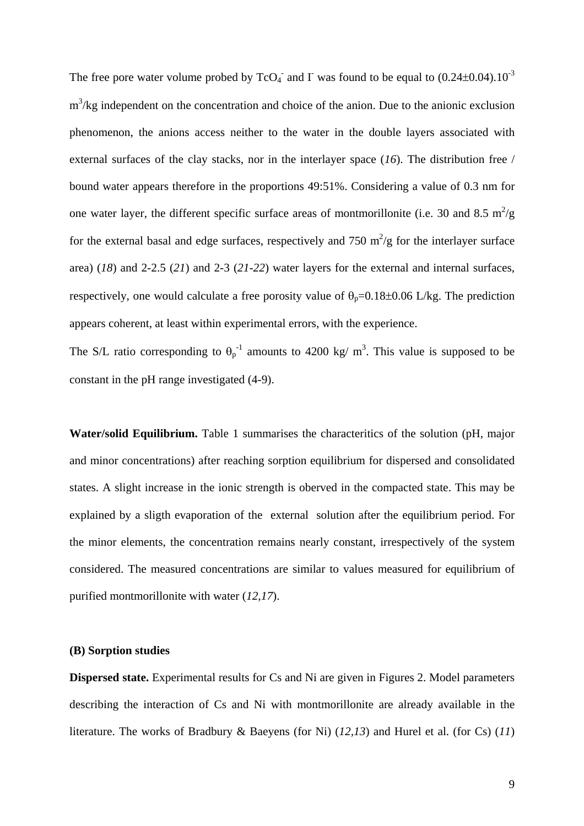The free pore water volume probed by  $TcO_4^-$  and I was found to be equal to (0.24 $\pm$ 0.04).10<sup>-3</sup>  $m<sup>3</sup>/kg$  independent on the concentration and choice of the anion. Due to the anionic exclusion phenomenon, the anions access neither to the water in the double layers associated with external surfaces of the clay stacks, nor in the interlayer space (*16*). The distribution free / bound water appears therefore in the proportions 49:51%. Considering a value of 0.3 nm for one water layer, the different specific surface areas of montmorillonite (i.e. 30 and 8.5  $m^2/g$ ) for the external basal and edge surfaces, respectively and 750  $\text{m}^2/\text{g}$  for the interlayer surface area) (*18*) and 2-2.5 (*21*) and 2-3 (*21*-*22*) water layers for the external and internal surfaces, respectively, one would calculate a free porosity value of  $\theta_p=0.18\pm0.06$  L/kg. The prediction appears coherent, at least within experimental errors, with the experience.

The S/L ratio corresponding to  $\theta_p^{-1}$  amounts to 4200 kg/ m<sup>3</sup>. This value is supposed to be constant in the pH range investigated (4-9).

**Water/solid Equilibrium.** Table 1 summarises the characteritics of the solution (pH, major and minor concentrations) after reaching sorption equilibrium for dispersed and consolidated states. A slight increase in the ionic strength is oberved in the compacted state. This may be explained by a sligth evaporation of the external solution after the equilibrium period. For the minor elements, the concentration remains nearly constant, irrespectively of the system considered. The measured concentrations are similar to values measured for equilibrium of purified montmorillonite with water (*12,17*).

### **(B) Sorption studies**

**Dispersed state.** Experimental results for Cs and Ni are given in Figures 2. Model parameters describing the interaction of Cs and Ni with montmorillonite are already available in the literature. The works of Bradbury & Baeyens (for Ni) (*12,13*) and Hurel et al. (for Cs) (*11*)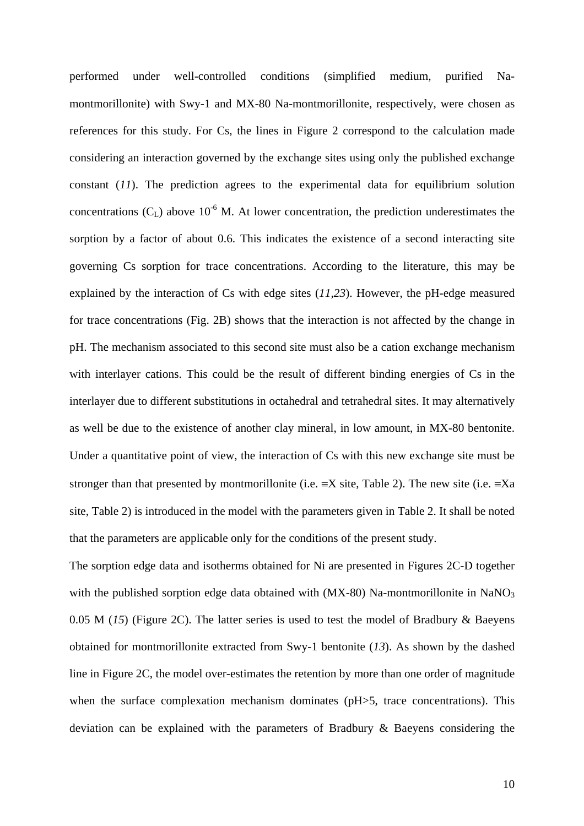performed under well-controlled conditions (simplified medium, purified Namontmorillonite) with Swy-1 and MX-80 Na-montmorillonite, respectively, were chosen as references for this study. For Cs, the lines in Figure 2 correspond to the calculation made considering an interaction governed by the exchange sites using only the published exchange constant (*11*). The prediction agrees to the experimental data for equilibrium solution concentrations  $(C_L)$  above 10<sup>-6</sup> M. At lower concentration, the prediction underestimates the sorption by a factor of about 0.6. This indicates the existence of a second interacting site governing Cs sorption for trace concentrations. According to the literature, this may be explained by the interaction of Cs with edge sites (*11,23*). However, the pH-edge measured for trace concentrations (Fig. 2B) shows that the interaction is not affected by the change in pH. The mechanism associated to this second site must also be a cation exchange mechanism with interlayer cations. This could be the result of different binding energies of Cs in the interlayer due to different substitutions in octahedral and tetrahedral sites. It may alternatively as well be due to the existence of another clay mineral, in low amount, in MX-80 bentonite. Under a quantitative point of view, the interaction of Cs with this new exchange site must be stronger than that presented by montmorillonite (i.e.  $\equiv$ X site, Table 2). The new site (i.e.  $\equiv$ Xa site, Table 2) is introduced in the model with the parameters given in Table 2. It shall be noted that the parameters are applicable only for the conditions of the present study.

The sorption edge data and isotherms obtained for Ni are presented in Figures 2C-D together with the published sorption edge data obtained with  $(MX-80)$  Na-montmorillonite in NaNO<sub>3</sub> 0.05 M (*15*) (Figure 2C). The latter series is used to test the model of Bradbury & Baeyens obtained for montmorillonite extracted from Swy-1 bentonite (*13*). As shown by the dashed line in Figure 2C, the model over-estimates the retention by more than one order of magnitude when the surface complexation mechanism dominates (pH>5, trace concentrations). This deviation can be explained with the parameters of Bradbury & Baeyens considering the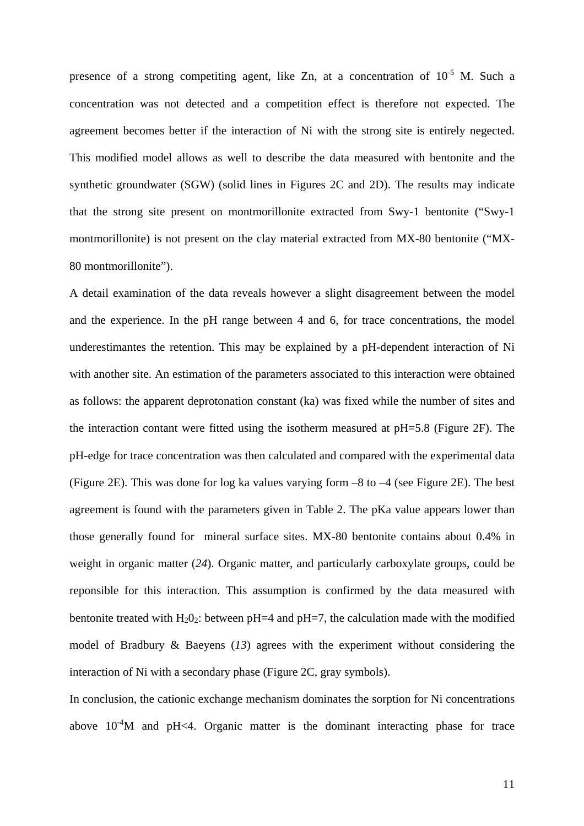presence of a strong competiting agent, like Zn, at a concentration of  $10^{-5}$  M. Such a concentration was not detected and a competition effect is therefore not expected. The agreement becomes better if the interaction of Ni with the strong site is entirely negected. This modified model allows as well to describe the data measured with bentonite and the synthetic groundwater (SGW) (solid lines in Figures 2C and 2D). The results may indicate that the strong site present on montmorillonite extracted from Swy-1 bentonite ("Swy-1 montmorillonite) is not present on the clay material extracted from MX-80 bentonite ("MX-80 montmorillonite").

A detail examination of the data reveals however a slight disagreement between the model and the experience. In the pH range between 4 and 6, for trace concentrations, the model underestimantes the retention. This may be explained by a pH-dependent interaction of Ni with another site. An estimation of the parameters associated to this interaction were obtained as follows: the apparent deprotonation constant (ka) was fixed while the number of sites and the interaction contant were fitted using the isotherm measured at pH=5.8 (Figure 2F). The pH-edge for trace concentration was then calculated and compared with the experimental data (Figure 2E). This was done for log ka values varying form –8 to –4 (see Figure 2E). The best agreement is found with the parameters given in Table 2. The pKa value appears lower than those generally found for mineral surface sites. MX-80 bentonite contains about 0.4% in weight in organic matter (*24*). Organic matter, and particularly carboxylate groups, could be reponsible for this interaction. This assumption is confirmed by the data measured with bentonite treated with  $H_2O_2$ : between pH=4 and pH=7, the calculation made with the modified model of Bradbury & Baeyens (*13*) agrees with the experiment without considering the interaction of Ni with a secondary phase (Figure 2C, gray symbols).

In conclusion, the cationic exchange mechanism dominates the sorption for Ni concentrations above  $10^{-4}$ M and pH<4. Organic matter is the dominant interacting phase for trace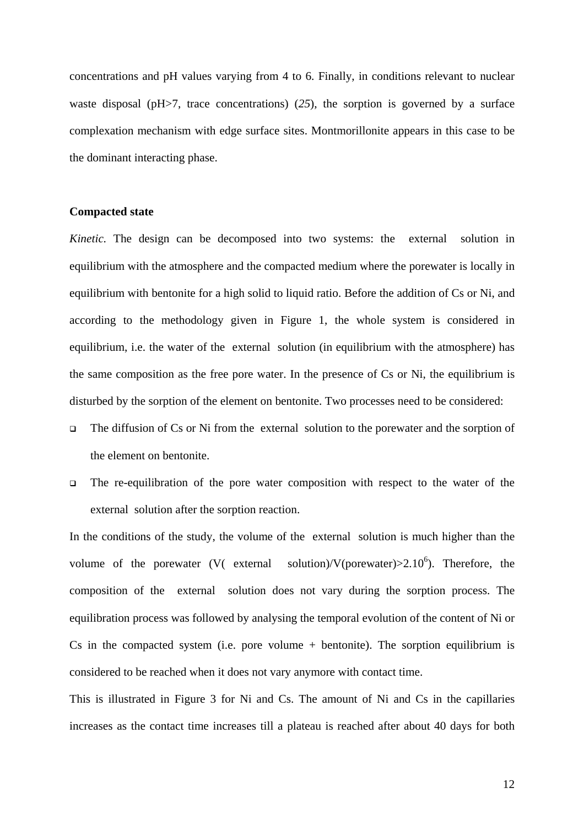concentrations and pH values varying from 4 to 6. Finally, in conditions relevant to nuclear waste disposal (pH>7, trace concentrations) (*25*), the sorption is governed by a surface complexation mechanism with edge surface sites. Montmorillonite appears in this case to be the dominant interacting phase.

#### **Compacted state**

*Kinetic.* The design can be decomposed into two systems: the external solution in equilibrium with the atmosphere and the compacted medium where the porewater is locally in equilibrium with bentonite for a high solid to liquid ratio. Before the addition of Cs or Ni, and according to the methodology given in Figure 1, the whole system is considered in equilibrium, i.e. the water of the external solution (in equilibrium with the atmosphere) has the same composition as the free pore water. In the presence of Cs or Ni, the equilibrium is disturbed by the sorption of the element on bentonite. Two processes need to be considered:

- $\Box$  The diffusion of Cs or Ni from the external solution to the porewater and the sorption of the element on bentonite.
- $\Box$  The re-equilibration of the pore water composition with respect to the water of the external solution after the sorption reaction.

In the conditions of the study, the volume of the external solution is much higher than the volume of the porewater (V( external solution)/V(porewater) $>2.10^6$ ). Therefore, the composition of the external solution does not vary during the sorption process. The equilibration process was followed by analysing the temporal evolution of the content of Ni or Cs in the compacted system (i.e. pore volume  $+$  bentonite). The sorption equilibrium is considered to be reached when it does not vary anymore with contact time.

This is illustrated in Figure 3 for Ni and Cs. The amount of Ni and Cs in the capillaries increases as the contact time increases till a plateau is reached after about 40 days for both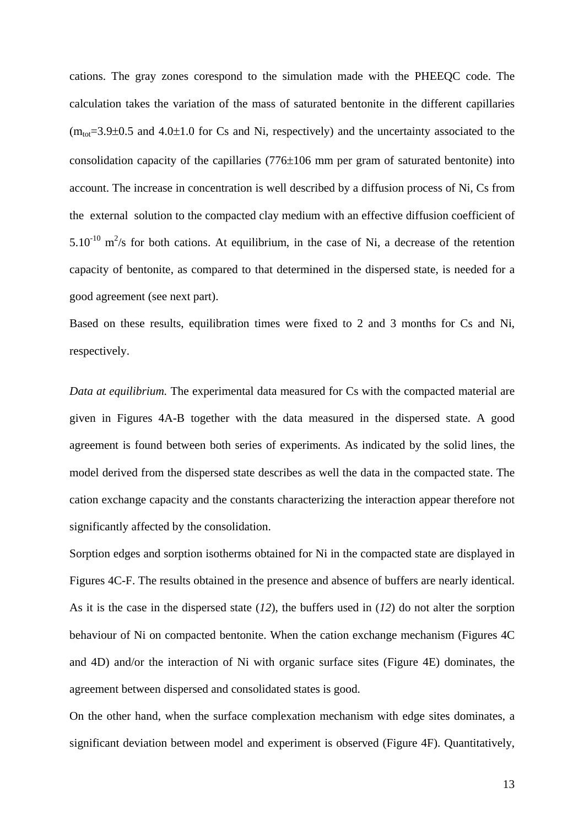cations. The gray zones corespond to the simulation made with the PHEEQC code. The calculation takes the variation of the mass of saturated bentonite in the different capillaries  $(m_{tot}=3.9\pm0.5$  and  $4.0\pm1.0$  for Cs and Ni, respectively) and the uncertainty associated to the consolidation capacity of the capillaries (776±106 mm per gram of saturated bentonite) into account. The increase in concentration is well described by a diffusion process of Ni, Cs from the external solution to the compacted clay medium with an effective diffusion coefficient of  $5.10^{-10}$  m<sup>2</sup>/s for both cations. At equilibrium, in the case of Ni, a decrease of the retention capacity of bentonite, as compared to that determined in the dispersed state, is needed for a good agreement (see next part).

Based on these results, equilibration times were fixed to 2 and 3 months for Cs and Ni, respectively.

*Data at equilibrium.* The experimental data measured for Cs with the compacted material are given in Figures 4A-B together with the data measured in the dispersed state. A good agreement is found between both series of experiments. As indicated by the solid lines, the model derived from the dispersed state describes as well the data in the compacted state. The cation exchange capacity and the constants characterizing the interaction appear therefore not significantly affected by the consolidation.

Sorption edges and sorption isotherms obtained for Ni in the compacted state are displayed in Figures 4C-F. The results obtained in the presence and absence of buffers are nearly identical. As it is the case in the dispersed state (*12*), the buffers used in (*12*) do not alter the sorption behaviour of Ni on compacted bentonite. When the cation exchange mechanism (Figures 4C and 4D) and/or the interaction of Ni with organic surface sites (Figure 4E) dominates, the agreement between dispersed and consolidated states is good.

On the other hand, when the surface complexation mechanism with edge sites dominates, a significant deviation between model and experiment is observed (Figure 4F). Quantitatively,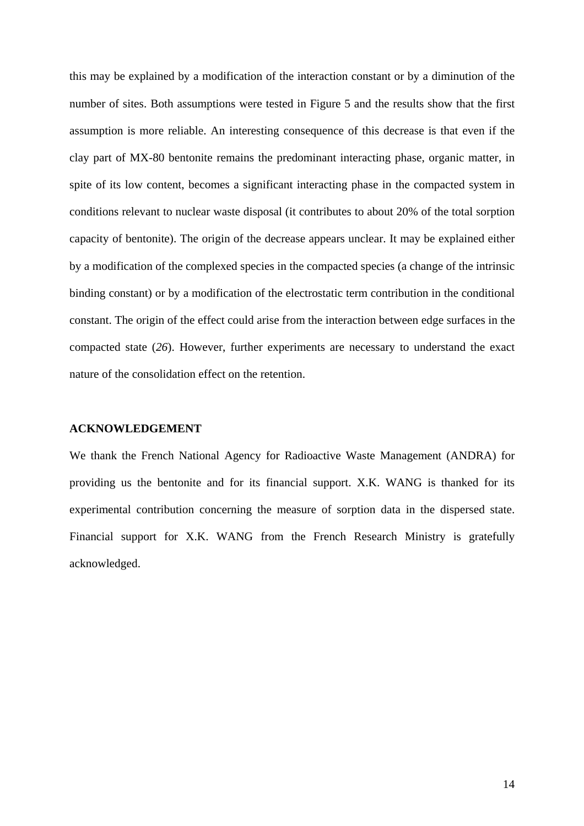this may be explained by a modification of the interaction constant or by a diminution of the number of sites. Both assumptions were tested in Figure 5 and the results show that the first assumption is more reliable. An interesting consequence of this decrease is that even if the clay part of MX-80 bentonite remains the predominant interacting phase, organic matter, in spite of its low content, becomes a significant interacting phase in the compacted system in conditions relevant to nuclear waste disposal (it contributes to about 20% of the total sorption capacity of bentonite). The origin of the decrease appears unclear. It may be explained either by a modification of the complexed species in the compacted species (a change of the intrinsic binding constant) or by a modification of the electrostatic term contribution in the conditional constant. The origin of the effect could arise from the interaction between edge surfaces in the compacted state (*26*). However, further experiments are necessary to understand the exact nature of the consolidation effect on the retention.

#### **ACKNOWLEDGEMENT**

We thank the French National Agency for Radioactive Waste Management (ANDRA) for providing us the bentonite and for its financial support. X.K. WANG is thanked for its experimental contribution concerning the measure of sorption data in the dispersed state. Financial support for X.K. WANG from the French Research Ministry is gratefully acknowledged.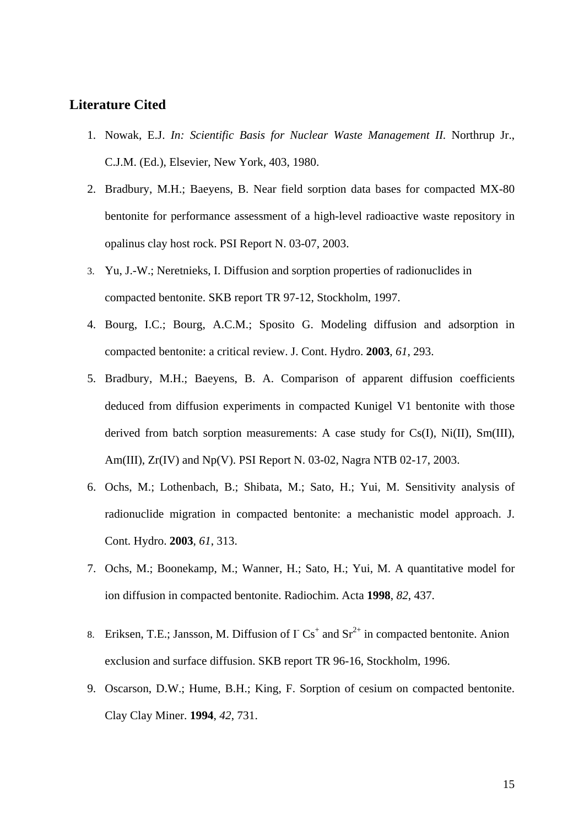## **Literature Cited**

- 1. Nowak, E.J. *In: Scientific Basis for Nuclear Waste Management II.* Northrup Jr., C.J.M. (Ed.), Elsevier, New York, 403, 1980.
- 2. Bradbury, M.H.; Baeyens, B. Near field sorption data bases for compacted MX-80 bentonite for performance assessment of a high-level radioactive waste repository in opalinus clay host rock. PSI Report N. 03-07, 2003.
- 3. Yu, J.-W.; Neretnieks, I. Diffusion and sorption properties of radionuclides in compacted bentonite. SKB report TR 97-12, Stockholm, 1997.
- 4. Bourg, I.C.; Bourg, A.C.M.; Sposito G. Modeling diffusion and adsorption in compacted bentonite: a critical review. J. Cont. Hydro. **2003**, *61*, 293.
- 5. Bradbury, M.H.; Baeyens, B. A. Comparison of apparent diffusion coefficients deduced from diffusion experiments in compacted Kunigel V1 bentonite with those derived from batch sorption measurements: A case study for Cs(I), Ni(II), Sm(III), Am(III), Zr(IV) and Np(V). PSI Report N. 03-02, Nagra NTB 02-17, 2003.
- 6. Ochs, M.; Lothenbach, B.; Shibata, M.; Sato, H.; Yui, M. Sensitivity analysis of radionuclide migration in compacted bentonite: a mechanistic model approach. J. Cont. Hydro. **2003**, *61*, 313.
- 7. Ochs, M.; Boonekamp, M.; Wanner, H.; Sato, H.; Yui, M. A quantitative model for ion diffusion in compacted bentonite. Radiochim. Acta **1998**, *82*, 437.
- 8. Eriksen, T.E.; Jansson, M. Diffusion of  $\Gamma$  Cs<sup>+</sup> and Sr<sup>2+</sup> in compacted bentonite. Anion exclusion and surface diffusion. SKB report TR 96-16, Stockholm, 1996.
- 9. Oscarson, D.W.; Hume, B.H.; King, F. Sorption of cesium on compacted bentonite. Clay Clay Miner. **1994**, *42*, 731.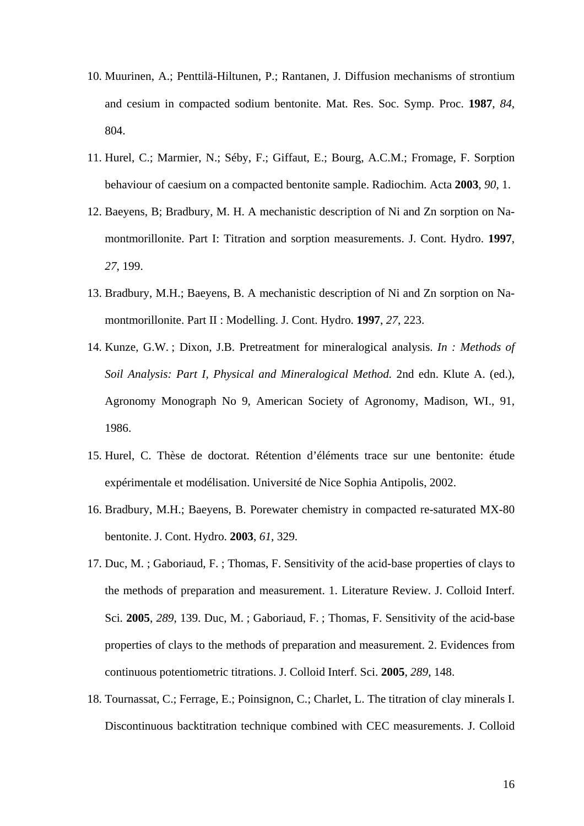- 10. Muurinen, A.; Penttilä-Hiltunen, P.; Rantanen, J. Diffusion mechanisms of strontium and cesium in compacted sodium bentonite. Mat. Res. Soc. Symp. Proc. **1987**, *84*, 804.
- 11. Hurel, C.; Marmier, N.; Séby, F.; Giffaut, E.; Bourg, A.C.M.; Fromage, F. Sorption behaviour of caesium on a compacted bentonite sample. Radiochim. Acta **2003**, *90*, 1.
- 12. Baeyens, B; Bradbury, M. H. A mechanistic description of Ni and Zn sorption on Namontmorillonite. Part I: Titration and sorption measurements. J. Cont. Hydro. **1997**, *27*, 199.
- 13. Bradbury, M.H.; Baeyens, B. A mechanistic description of Ni and Zn sorption on Namontmorillonite. Part II : Modelling. J. Cont. Hydro. **1997**, *27*, 223.
- 14. Kunze, G.W. ; Dixon, J.B. Pretreatment for mineralogical analysis. *In : Methods of Soil Analysis: Part I, Physical and Mineralogical Method.* 2nd edn. Klute A. (ed.), Agronomy Monograph No 9, American Society of Agronomy, Madison, WI., 91, 1986.
- 15. Hurel, C. Thèse de doctorat. Rétention d'éléments trace sur une bentonite: étude expérimentale et modélisation. Université de Nice Sophia Antipolis, 2002.
- 16. Bradbury, M.H.; Baeyens, B. Porewater chemistry in compacted re-saturated MX-80 bentonite. J. Cont. Hydro. **2003**, *61*, 329.
- 17. Duc, M. ; Gaboriaud, F. ; Thomas, F. Sensitivity of the acid-base properties of clays to the methods of preparation and measurement. 1. Literature Review. J. Colloid Interf. Sci. **2005**, *289*, 139. Duc, M. ; Gaboriaud, F. ; Thomas, F. Sensitivity of the acid-base properties of clays to the methods of preparation and measurement. 2. Evidences from continuous potentiometric titrations. J. Colloid Interf. Sci. **2005**, *289*, 148.
- 18. Tournassat, C.; Ferrage, E.; Poinsignon, C.; Charlet, L. The titration of clay minerals I. Discontinuous backtitration technique combined with CEC measurements. J. Colloid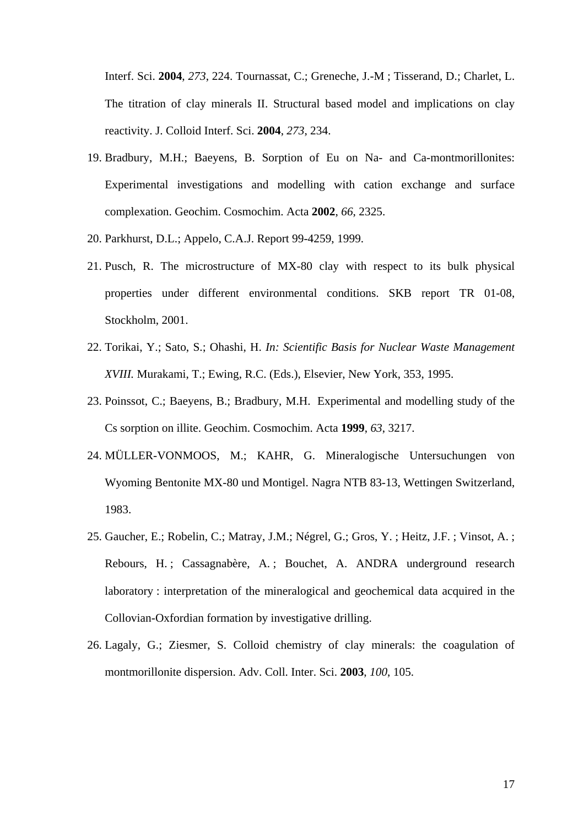Interf. Sci. **2004**, *273*, 224. Tournassat, C.; Greneche, J.-M ; Tisserand, D.; Charlet, L. The titration of clay minerals II. Structural based model and implications on clay reactivity. J. Colloid Interf. Sci. **2004**, *273*, 234.

- 19. Bradbury, M.H.; Baeyens, B. Sorption of Eu on Na- and Ca-montmorillonites: Experimental investigations and modelling with cation exchange and surface complexation. Geochim. Cosmochim. Acta **2002**, *66*, 2325.
- 20. Parkhurst, D.L.; Appelo, C.A.J. Report 99-4259, 1999.
- 21. Pusch, R. The microstructure of MX-80 clay with respect to its bulk physical properties under different environmental conditions. SKB report TR 01-08, Stockholm, 2001.
- 22. Torikai, Y.; Sato, S.; Ohashi, H. *In: Scientific Basis for Nuclear Waste Management XVIII.* Murakami, T.; Ewing, R.C. (Eds.), Elsevier, New York, 353, 1995.
- 23. Poinssot, C.; Baeyens, B.; Bradbury, M.H. Experimental and modelling study of the Cs sorption on illite. Geochim. Cosmochim. Acta **1999**, *63*, 3217.
- 24. MÜLLER-VONMOOS, M.; KAHR, G. Mineralogische Untersuchungen von Wyoming Bentonite MX-80 und Montigel. Nagra NTB 83-13, Wettingen Switzerland, 1983.
- 25. Gaucher, E.; Robelin, C.; Matray, J.M.; Négrel, G.; Gros, Y. ; Heitz, J.F. ; Vinsot, A. ; Rebours, H. ; Cassagnabère, A. ; Bouchet, A. ANDRA underground research laboratory : interpretation of the mineralogical and geochemical data acquired in the Collovian-Oxfordian formation by investigative drilling.
- 26. Lagaly, G.; Ziesmer, S. Colloid chemistry of clay minerals: the coagulation of montmorillonite dispersion. Adv. Coll. Inter. Sci. **2003**, *100*, 105.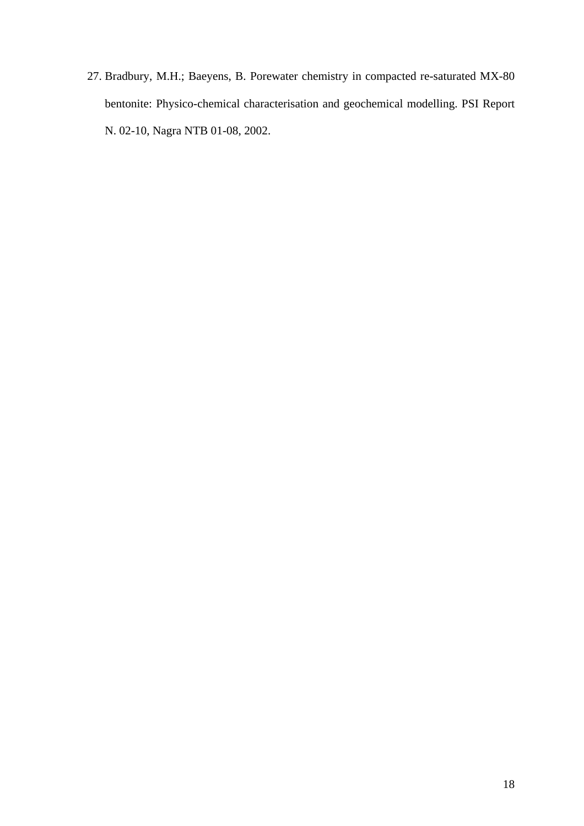27. Bradbury, M.H.; Baeyens, B. Porewater chemistry in compacted re-saturated MX-80 bentonite: Physico-chemical characterisation and geochemical modelling. PSI Report N. 02-10, Nagra NTB 01-08, 2002.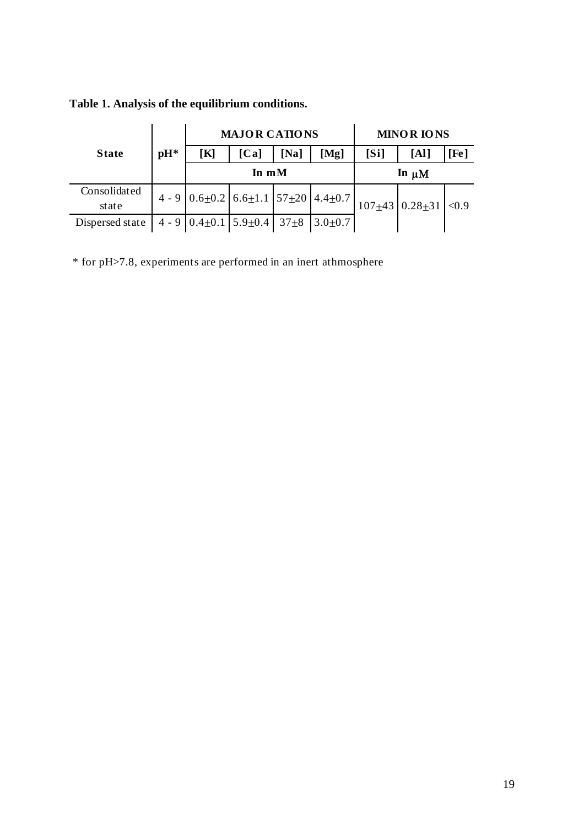|                       |       | <b>MAJOR CATIONS</b>                                   |      |                 |      | <b>MINOR IONS</b> |                          |      |
|-----------------------|-------|--------------------------------------------------------|------|-----------------|------|-------------------|--------------------------|------|
| <b>State</b>          | $pH*$ | $\bf K$                                                | [Ca] | $\mathbf{[Na]}$ | [Mg] | [Si]              | [Al]                     | [Fe] |
|                       |       | In $mM$                                                |      |                 |      | In $\mu$ M        |                          |      |
| Consolidated<br>state |       | 4 - 9 $0.6 \pm 0.2$ 6.6 ± 1.1 57 ± 20 4.4 ± 0.7        |      |                 |      |                   | $107+43$ 0.28 + 31 < 0.9 |      |
| Dispersed state       |       | 4 - 9 $0.4 \pm 0.1$ 5.9 + 0.4 37 $\pm$ 8 3.0 $\pm$ 0.7 |      |                 |      |                   |                          |      |

**Table 1. Analysis of the equilibrium conditions.** 

\* for pH>7.8, experiments are performed in an inert athmosphere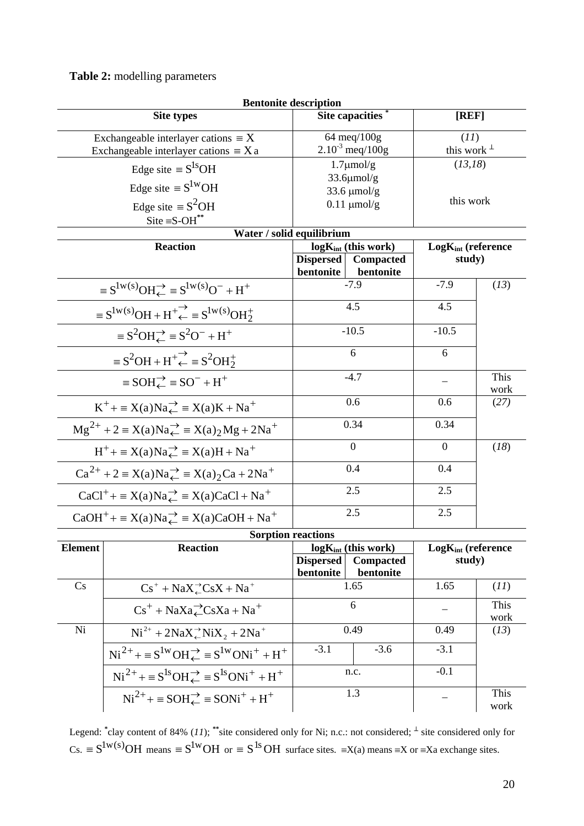**Table 2:** modelling parameters

|                                                                                       | <b>Bentonite description</b>                                         |                                                            |                           |                                    |              |  |
|---------------------------------------------------------------------------------------|----------------------------------------------------------------------|------------------------------------------------------------|---------------------------|------------------------------------|--------------|--|
|                                                                                       | <b>Site types</b>                                                    |                                                            | <b>Site capacities</b>    | [REF]                              |              |  |
| Exchangeable interlayer cations $\equiv X$                                            |                                                                      |                                                            | 64 meq/100g               | (11)                               |              |  |
|                                                                                       | Exchangeable interlayer cations $\equiv X$ a                         | $2.10^{3}$ meq/100g                                        |                           | this work $\perp$                  |              |  |
|                                                                                       | Edge site $\equiv S^{1s}OH$                                          |                                                            | $1.7 \mu$ mol/g           |                                    | (13, 18)     |  |
|                                                                                       | Edge site $\equiv S^{1W}OH$                                          | $33.6 \mu$ mol/g<br>$33.6 \mu$ mol/g                       |                           |                                    |              |  |
|                                                                                       | Edge site $\equiv S^2OH$                                             | $0.11 \text{ \mu}$ mol/g                                   |                           | this work                          |              |  |
|                                                                                       | $\text{Site} \equiv \text{S-OH}^{**}$                                |                                                            |                           |                                    |              |  |
|                                                                                       | Water / solid equilibrium                                            |                                                            |                           |                                    |              |  |
| <b>Reaction</b>                                                                       |                                                                      |                                                            | $log K_{int}$ (this work) | $Log K_{int}$ (reference<br>study) |              |  |
|                                                                                       |                                                                      | <b>Dispersed</b><br>Compacted                              |                           |                                    |              |  |
|                                                                                       |                                                                      | bentonite                                                  | bentonite                 |                                    |              |  |
| $\equiv S^{1w(s)}OH_{\leftarrow}^{\rightarrow} \equiv S^{1w(s)}O^{-} + H^{+}$         |                                                                      | $-7.9$                                                     |                           | $-7.9$                             | (13)         |  |
| $\equiv S^{1w(s)}OH + H^+ \stackrel{\rightarrow}{\leftarrow} \equiv S^{1w(s)}OH^+$    |                                                                      |                                                            | 4.5                       |                                    |              |  |
| $\equiv S^2OH \rightleftharpoons S^2O^- + H^+$                                        |                                                                      | $-10.5$                                                    |                           | $-10.5$                            |              |  |
| $\equiv S^2OH + H^+ \stackrel{\rightarrow}{\leftarrow} \equiv S^2OH_2^+$              |                                                                      | 6                                                          |                           | 6                                  |              |  |
| $\equiv$ SOH $\rightleftarrows$ = SO <sup>-</sup> + H <sup>+</sup>                    |                                                                      | $-4.7$                                                     |                           |                                    | This<br>work |  |
| $K^+$ + = $X(a)Na \rightleftharpoons X(a)K + Na^+$                                    |                                                                      | 0.6                                                        |                           | 0.6                                | (27)         |  |
| $Mg^{2+}$ + 2 = X(a)Na $\overrightarrow{A}$ = X(a) <sub>2</sub> Mg + 2Na <sup>+</sup> |                                                                      | 0.34                                                       |                           | 0.34                               |              |  |
| $H^+$ = $X(a)Na \rightleftharpoons X(a)H + Na^+$                                      |                                                                      | $\mathbf{0}$                                               |                           | $\overline{0}$                     | (18)         |  |
| $Ca^{2+} + 2 \equiv X(a)Na \rightleftharpoons X(a)_2Ca + 2Na^+$                       |                                                                      | 0.4                                                        |                           | 0.4                                |              |  |
| $CaCl^+ + \equiv X(a)Na \rightleftharpoons X(a)CaCl + Na^+$                           |                                                                      | 2.5                                                        |                           | 2.5                                |              |  |
|                                                                                       | $CaOH^{+} + \equiv X(a)Na_{\leftarrow}^{+} \equiv X(a)CaOH + Na^{+}$ |                                                            | 2.5                       | 2.5                                |              |  |
| <b>Sorption reactions</b>                                                             |                                                                      |                                                            |                           |                                    |              |  |
| <b>Element</b>                                                                        | <b>Reaction</b>                                                      | $log K_{int}$ (this work)<br><b>Dispersed</b><br>Compacted |                           | $Log K_{int}$ (reference<br>study) |              |  |
|                                                                                       |                                                                      | bentonite                                                  | bentonite                 |                                    |              |  |
| Cs                                                                                    | $Cs^+ + NaX^{\rightarrow}_\leftarrow CsX + Na^+$                     |                                                            | 1.65                      | 1.65                               | (11)         |  |
|                                                                                       | $Cs^+ + NaXa \angle CsXa + Na^+$                                     | 6                                                          |                           |                                    | This<br>work |  |
| Ni                                                                                    | $Ni^{2+} + 2NaX \rightleftharpoons NiX_2 + 2Na^{+}$                  | 0.49                                                       |                           | 0.49                               | (13)         |  |
|                                                                                       | $Ni^{2+} + \equiv S^{1w}OH \rightleftharpoons S^{1w}ONi^{+} + H^{+}$ | $-3.1$                                                     | $-3.6$                    | $-3.1$                             |              |  |
|                                                                                       | $Ni^{2+} + \equiv S^{1s}OH \rightleftharpoons S^{1s}ONi^{+} + H^{+}$ | n.c.                                                       |                           | $-0.1$                             |              |  |
| $Ni^{2+}$ + = $SOH\rightleftarrows$ = $SONi^{+}$ + $H^{+}$                            |                                                                      |                                                            | 1.3                       |                                    | This<br>work |  |

Legend: <sup>\*</sup>clay content of 84% (*11*); <sup>\*\*</sup>site considered only for Ni; n.c.: not considered; <sup>⊥</sup> site considered only for  $CS. \equiv S^{1w(S)}OH$  means  $\equiv S^{1w}OH$  or  $\equiv S^{1s}OH$  surface sites.  $\equiv X(a)$  means  $\equiv X$  or  $\equiv Xa$  exchange sites.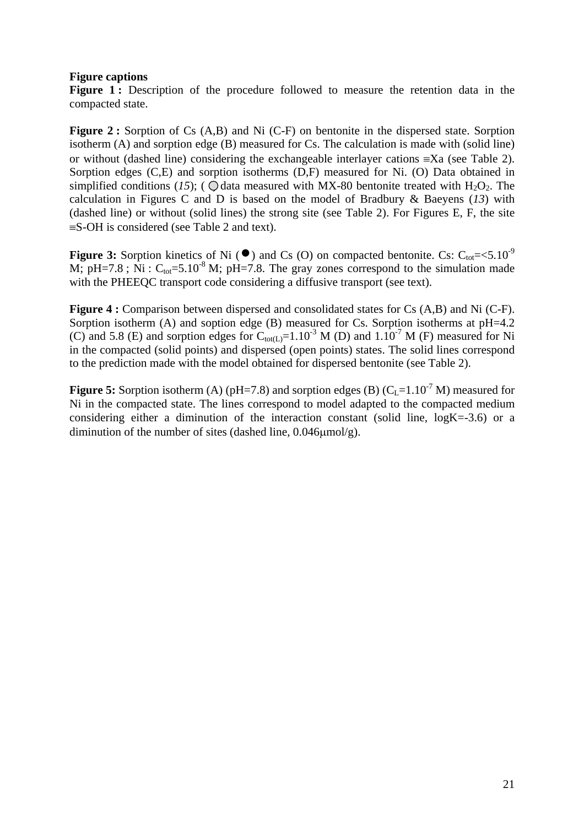## **Figure captions**

Figure 1: Description of the procedure followed to measure the retention data in the compacted state.

Figure 2 : Sorption of Cs (A,B) and Ni (C-F) on bentonite in the dispersed state. Sorption isotherm (A) and sorption edge (B) measured for Cs. The calculation is made with (solid line) or without (dashed line) considering the exchangeable interlayer cations ≡Xa (see Table 2). Sorption edges (C,E) and sorption isotherms (D,F) measured for Ni. (O) Data obtained in simplified conditions (15); (  $\bigcirc$  data measured with MX-80 bentonite treated with H<sub>2</sub>O<sub>2</sub>. The calculation in Figures C and D is based on the model of Bradbury & Baeyens (*13*) with (dashed line) or without (solid lines) the strong site (see Table 2). For Figures E, F, the site ≡S-OH is considered (see Table 2 and text).

**Figure 3:** Sorption kinetics of Ni ( $\bullet$ ) and Cs (O) on compacted bentonite. Cs: C<sub>tot</sub>= <5.10<sup>-9</sup> M; pH=7.8; Ni :  $C_{tot}$ =5.10<sup>-8</sup> M; pH=7.8. The gray zones correspond to the simulation made with the PHEEQC transport code considering a diffusive transport (see text).

**Figure 4 :** Comparison between dispersed and consolidated states for Cs (A,B) and Ni (C-F). Sorption isotherm (A) and soption edge (B) measured for Cs. Sorption isotherms at  $pH=4.2$ (C) and 5.8 (E) and sorption edges for  $C_{tot(L)}=1.10^{-3}$  M (D) and  $1.10^{-7}$  M (F) measured for Ni in the compacted (solid points) and dispersed (open points) states. The solid lines correspond to the prediction made with the model obtained for dispersed bentonite (see Table 2).

**Figure 5:** Sorption isotherm (A) ( $pH=7.8$ ) and sorption edges (B) ( $C_L=1.10^{-7}$  M) measured for Ni in the compacted state. The lines correspond to model adapted to the compacted medium considering either a diminution of the interaction constant (solid line, logK=-3.6) or a diminution of the number of sites (dashed line,  $0.046$  $\mu$ mol/g).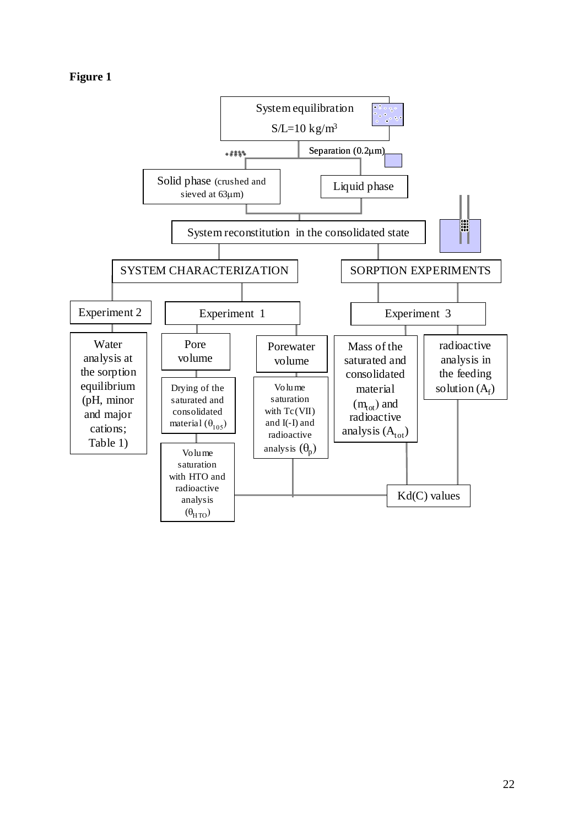|  | 19111<br>г |  |
|--|------------|--|
|--|------------|--|

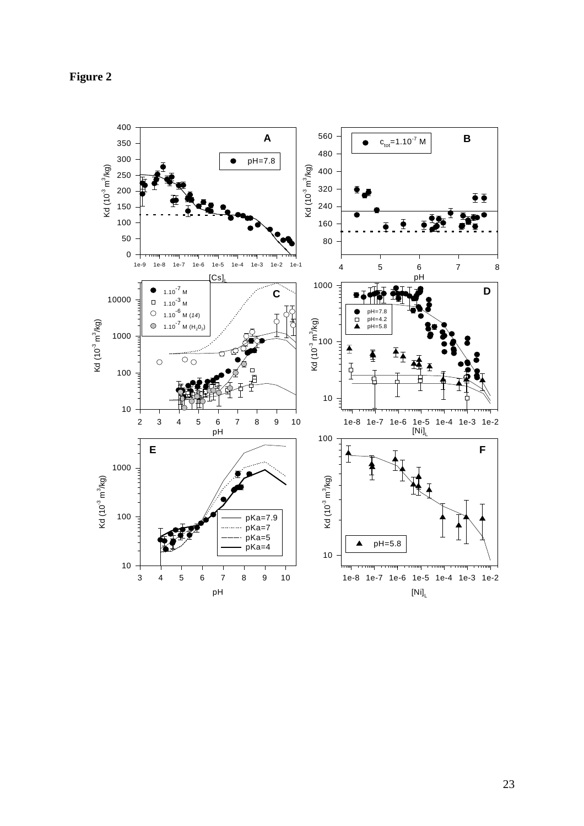

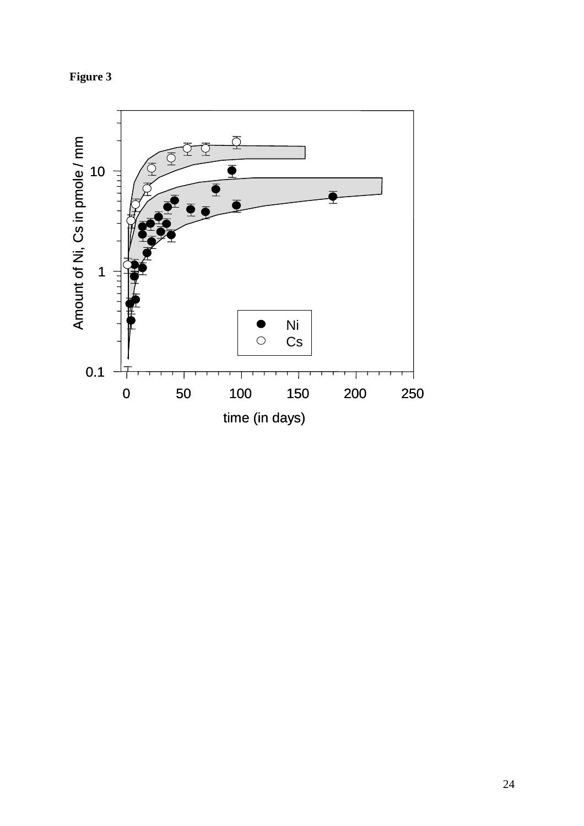

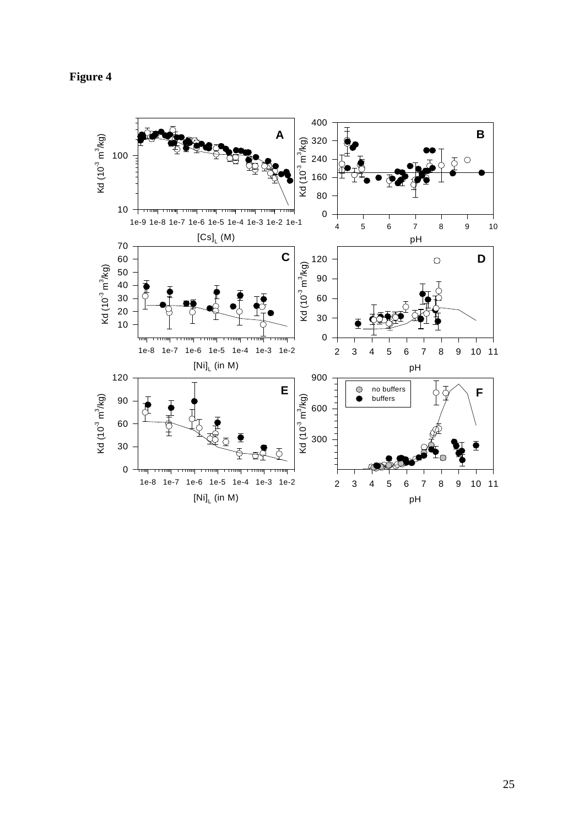